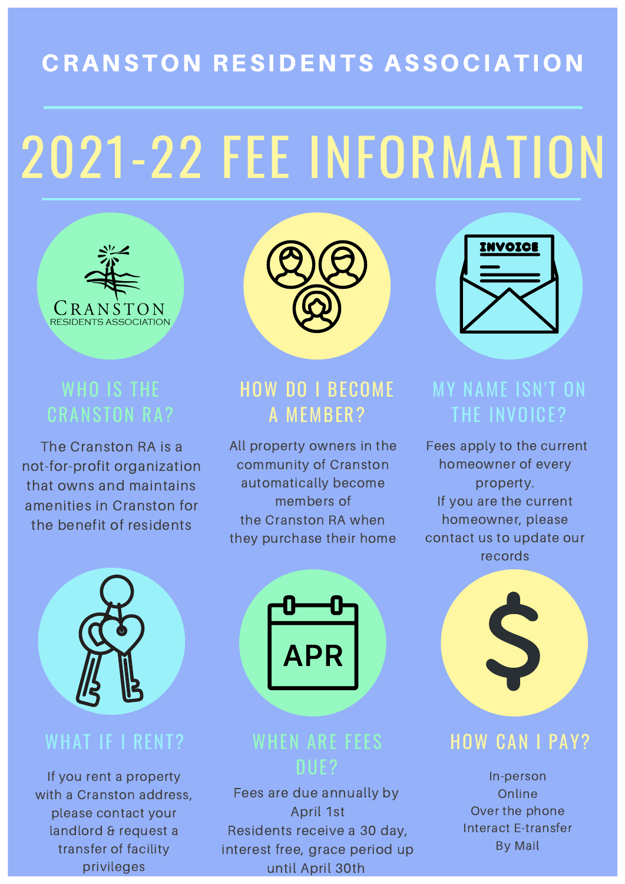# 2021-22 FEE INFORMATION



## CRANSTON RESIDENTS ASSOCIATION

### WHO IS THE CRANSTON RA?

The Cranston RA is a not-for-profit organization that owns and maintains amenities in Cranston for the benefit of residents





### HOW DO I BECOME A MEMBER?

All property owners in the community of Cranston

automatically become members of the Cranston RA when they purchase their home

### MY NAME ISN'T ON THE INVOICE?

Fees apply to the current homeowner of every

property. If you are the current homeowner, please contact us to update our records



### WHAT IF I RENT?

If you rent a property with a Cranston address, please contact your landlord & request a transfer of facility privileges

### WHEN ARE FEES DUE?

APR

Fees are due annually by April 1st Residents receive a 30 day, interest free, grace period up until April 30th

### HOW CAN I PAY?

In-person Online Over the phone Interact E-transfer By Mail